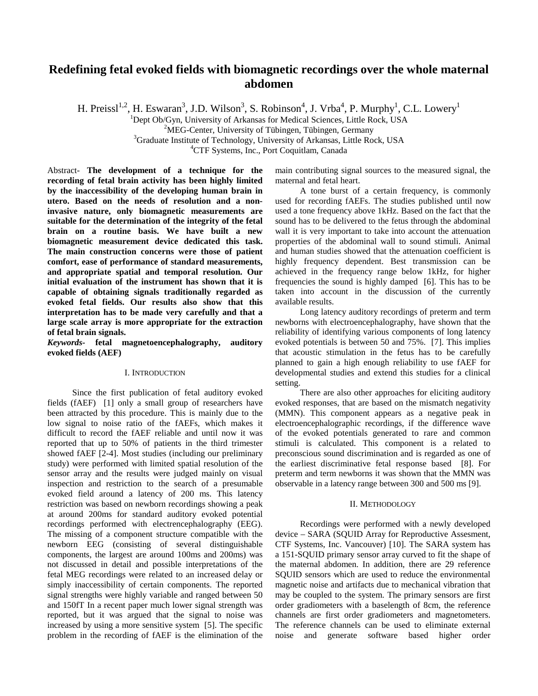# **Redefining fetal evoked fields with biomagnetic recordings over the whole maternal abdomen**

H. Preissl<sup>1,2</sup>, H. Eswaran<sup>3</sup>, J.D. Wilson<sup>3</sup>, S. Robinson<sup>4</sup>, J. Vrba<sup>4</sup>, P. Murphy<sup>1</sup>, C.L. Lowery<sup>1</sup>

<sup>1</sup>Dept Ob/Gyn, University of Arkansas for Medical Sciences, Little Rock, USA<br><sup>2</sup>MEG Contagn University of Tijbingen, Tijbingen, Germany

<sup>2</sup>MEG-Center, University of Tübingen, Tübingen, Germany

<sup>3</sup>Graduate Institute of Technology, University of Arkansas, Little Rock, USA

CTF Systems, Inc., Port Coquitlam, Canada

Abstract- **The development of a technique for the recording of fetal brain activity has been highly limited by the inaccessibility of the developing human brain in utero. Based on the needs of resolution and a noninvasive nature, only biomagnetic measurements are suitable for the determination of the integrity of the fetal brain on a routine basis. We have built a new biomagnetic measurement device dedicated this task. The main construction concerns were those of patient comfort, ease of performance of standard measurements, and appropriate spatial and temporal resolution. Our initial evaluation of the instrument has shown that it is capable of obtaining signals traditionally regarded as evoked fetal fields. Our results also show that this interpretation has to be made very carefully and that a large scale array is more appropriate for the extraction of fetal brain signals.** 

*Keywords-* **fetal magnetoencephalography, auditory evoked fields (AEF)** 

# I. INTRODUCTION

Since the first publication of fetal auditory evoked fields (fAEF) [1] only a small group of researchers have been attracted by this procedure. This is mainly due to the low signal to noise ratio of the fAEFs, which makes it difficult to record the fAEF reliable and until now it was reported that up to 50% of patients in the third trimester showed fAEF [2-4]. Most studies (including our preliminary study) were performed with limited spatial resolution of the sensor array and the results were judged mainly on visual inspection and restriction to the search of a presumable evoked field around a latency of 200 ms. This latency restriction was based on newborn recordings showing a peak at around 200ms for standard auditory evoked potential recordings performed with electrencephalography (EEG). The missing of a component structure compatible with the newborn EEG (consisting of several distinguishable components, the largest are around 100ms and 200ms) was not discussed in detail and possible interpretations of the fetal MEG recordings were related to an increased delay or simply inaccessibility of certain components. The reported signal strengths were highly variable and ranged between 50 and 150fT In a recent paper much lower signal strength was reported, but it was argued that the signal to noise was increased by using a more sensitive system [5]. The specific problem in the recording of fAEF is the elimination of the main contributing signal sources to the measured signal, the maternal and fetal heart.

A tone burst of a certain frequency, is commonly used for recording fAEFs. The studies published until now used a tone frequency above 1kHz. Based on the fact that the sound has to be delivered to the fetus through the abdominal wall it is very important to take into account the attenuation properties of the abdominal wall to sound stimuli. Animal and human studies showed that the attenuation coefficient is highly frequency dependent. Best transmission can be achieved in the frequency range below 1kHz, for higher frequencies the sound is highly damped [6]. This has to be taken into account in the discussion of the currently available results.

Long latency auditory recordings of preterm and term newborns with electroencephalography, have shown that the reliability of identifying various components of long latency evoked potentials is between 50 and 75%. [7]. This implies that acoustic stimulation in the fetus has to be carefully planned to gain a high enough reliability to use fAEF for developmental studies and extend this studies for a clinical setting.

There are also other approaches for eliciting auditory evoked responses, that are based on the mismatch negativity (MMN). This component appears as a negative peak in electroencephalographic recordings, if the difference wave of the evoked potentials generated to rare and common stimuli is calculated. This component is a related to preconscious sound discrimination and is regarded as one of the earliest discriminative fetal response based [8]. For preterm and term newborns it was shown that the MMN was observable in a latency range between 300 and 500 ms [9].

## II. METHODOLOGY

Recordings were performed with a newly developed device – SARA (SQUID Array for Reproductive Assesment, CTF Systems, Inc. Vancouver) [10]. The SARA system has a 151-SQUID primary sensor array curved to fit the shape of the maternal abdomen. In addition, there are 29 reference SQUID sensors which are used to reduce the environmental magnetic noise and artifacts due to mechanical vibration that may be coupled to the system. The primary sensors are first order gradiometers with a baselength of 8cm, the reference channels are first order gradiometers and magnetometers. The reference channels can be used to eliminate external noise and generate software based higher order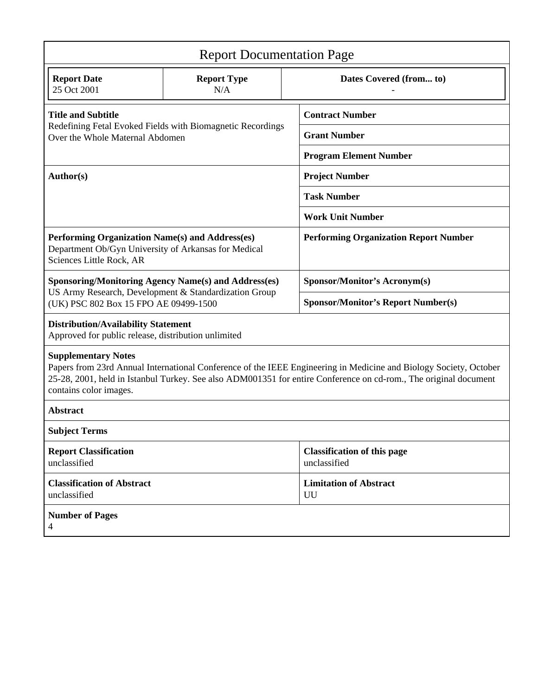| <b>Report Documentation Page</b>                                                                                                                                                                                                                                                              |                           |                         |                                                    |  |
|-----------------------------------------------------------------------------------------------------------------------------------------------------------------------------------------------------------------------------------------------------------------------------------------------|---------------------------|-------------------------|----------------------------------------------------|--|
| <b>Report Date</b><br>25 Oct 2001                                                                                                                                                                                                                                                             | <b>Report Type</b><br>N/A | Dates Covered (from to) |                                                    |  |
| <b>Title and Subtitle</b><br>Redefining Fetal Evoked Fields with Biomagnetic Recordings<br>Over the Whole Maternal Abdomen                                                                                                                                                                    |                           |                         | <b>Contract Number</b>                             |  |
|                                                                                                                                                                                                                                                                                               |                           |                         | <b>Grant Number</b>                                |  |
|                                                                                                                                                                                                                                                                                               |                           |                         | <b>Program Element Number</b>                      |  |
| Author(s)                                                                                                                                                                                                                                                                                     |                           |                         | <b>Project Number</b>                              |  |
|                                                                                                                                                                                                                                                                                               |                           |                         | <b>Task Number</b>                                 |  |
|                                                                                                                                                                                                                                                                                               |                           |                         | <b>Work Unit Number</b>                            |  |
| Performing Organization Name(s) and Address(es)<br>Department Ob/Gyn University of Arkansas for Medical<br>Sciences Little Rock, AR                                                                                                                                                           |                           |                         | <b>Performing Organization Report Number</b>       |  |
| <b>Sponsoring/Monitoring Agency Name(s) and Address(es)</b><br>US Army Research, Development & Standardization Group<br>(UK) PSC 802 Box 15 FPO AE 09499-1500                                                                                                                                 |                           |                         | <b>Sponsor/Monitor's Acronym(s)</b>                |  |
|                                                                                                                                                                                                                                                                                               |                           |                         | <b>Sponsor/Monitor's Report Number(s)</b>          |  |
| <b>Distribution/Availability Statement</b><br>Approved for public release, distribution unlimited                                                                                                                                                                                             |                           |                         |                                                    |  |
| <b>Supplementary Notes</b><br>Papers from 23rd Annual International Conference of the IEEE Engineering in Medicine and Biology Society, October<br>25-28, 2001, held in Istanbul Turkey. See also ADM001351 for entire Conference on cd-rom., The original document<br>contains color images. |                           |                         |                                                    |  |
| <b>Abstract</b>                                                                                                                                                                                                                                                                               |                           |                         |                                                    |  |
| <b>Subject Terms</b>                                                                                                                                                                                                                                                                          |                           |                         |                                                    |  |
| <b>Report Classification</b><br>unclassified                                                                                                                                                                                                                                                  |                           |                         | <b>Classification of this page</b><br>unclassified |  |
| <b>Classification of Abstract</b><br>unclassified                                                                                                                                                                                                                                             |                           |                         | <b>Limitation of Abstract</b><br>UU                |  |
| <b>Number of Pages</b><br>4                                                                                                                                                                                                                                                                   |                           |                         |                                                    |  |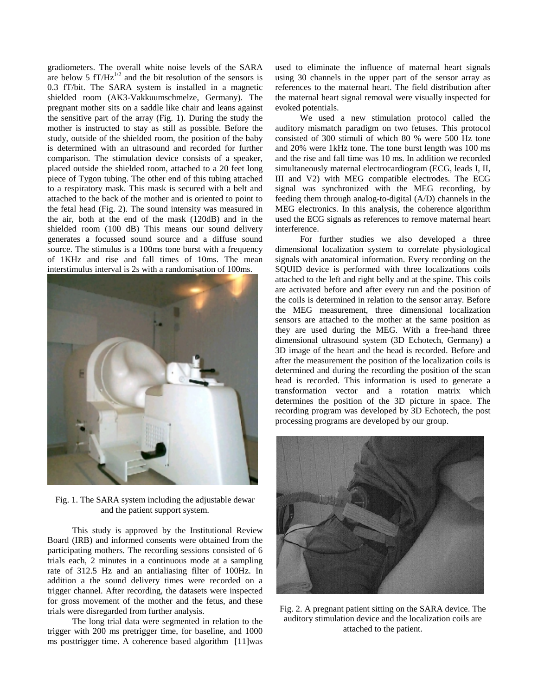gradiometers. The overall white noise levels of the SARA are below 5  $fT/Hz^{1/2}$  and the bit resolution of the sensors is 0.3 fT/bit. The SARA system is installed in a magnetic shielded room (AK3-Vakkuumschmelze, Germany). The pregnant mother sits on a saddle like chair and leans against the sensitive part of the array (Fig. 1). During the study the mother is instructed to stay as still as possible. Before the study, outside of the shielded room, the position of the baby is determined with an ultrasound and recorded for further comparison. The stimulation device consists of a speaker, placed outside the shielded room, attached to a 20 feet long piece of Tygon tubing. The other end of this tubing attached to a respiratory mask. This mask is secured with a belt and attached to the back of the mother and is oriented to point to the fetal head (Fig. 2). The sound intensity was measured in the air, both at the end of the mask (120dB) and in the shielded room (100 dB) This means our sound delivery generates a focussed sound source and a diffuse sound source. The stimulus is a 100ms tone burst with a frequency of 1KHz and rise and fall times of 10ms. The mean interstimulus interval is 2s with a randomisation of 100ms.



Fig. 1. The SARA system including the adjustable dewar and the patient support system.

This study is approved by the Institutional Review Board (IRB) and informed consents were obtained from the participating mothers. The recording sessions consisted of 6 trials each, 2 minutes in a continuous mode at a sampling rate of 312.5 Hz and an antialiasing filter of 100Hz. In addition a the sound delivery times were recorded on a trigger channel. After recording, the datasets were inspected for gross movement of the mother and the fetus, and these trials were disregarded from further analysis.

The long trial data were segmented in relation to the trigger with 200 ms pretrigger time, for baseline, and 1000 ms posttrigger time. A coherence based algorithm [11]was used to eliminate the influence of maternal heart signals using 30 channels in the upper part of the sensor array as references to the maternal heart. The field distribution after the maternal heart signal removal were visually inspected for evoked potentials.

We used a new stimulation protocol called the auditory mismatch paradigm on two fetuses. This protocol consisted of 300 stimuli of which 80 % were 500 Hz tone and 20% were 1kHz tone. The tone burst length was 100 ms and the rise and fall time was 10 ms. In addition we recorded simultaneously maternal electrocardiogram (ECG, leads I, II, III and V2) with MEG compatible electrodes. The ECG signal was synchronized with the MEG recording, by feeding them through analog-to-digital (A/D) channels in the MEG electronics. In this analysis, the coherence algorithm used the ECG signals as references to remove maternal heart interference.

For further studies we also developed a three dimensional localization system to correlate physiological signals with anatomical information. Every recording on the SQUID device is performed with three localizations coils attached to the left and right belly and at the spine. This coils are activated before and after every run and the position of the coils is determined in relation to the sensor array. Before the MEG measurement, three dimensional localization sensors are attached to the mother at the same position as they are used during the MEG. With a free-hand three dimensional ultrasound system (3D Echotech, Germany) a 3D image of the heart and the head is recorded. Before and after the measurement the position of the localization coils is determined and during the recording the position of the scan head is recorded. This information is used to generate a transformation vector and a rotation matrix which determines the position of the 3D picture in space. The recording program was developed by 3D Echotech, the post processing programs are developed by our group.



Fig. 2. A pregnant patient sitting on the SARA device. The auditory stimulation device and the localization coils are attached to the patient.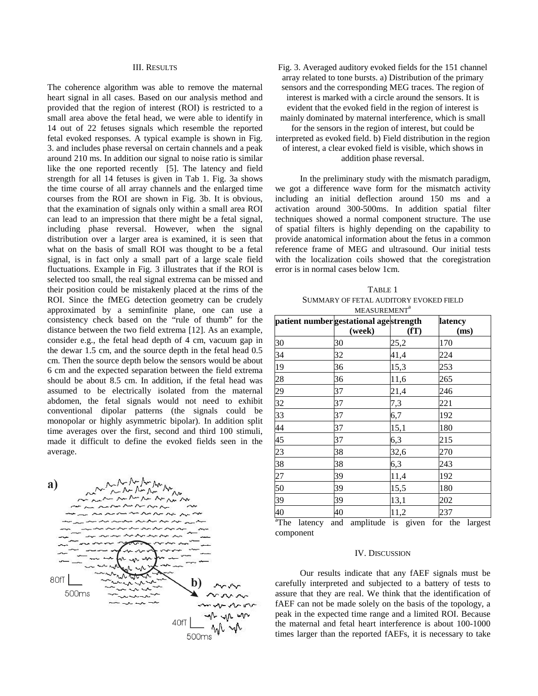# III. RESULTS

The coherence algorithm was able to remove the maternal heart signal in all cases. Based on our analysis method and provided that the region of interest (ROI) is restricted to a small area above the fetal head, we were able to identify in 14 out of 22 fetuses signals which resemble the reported fetal evoked responses. A typical example is shown in Fig. 3. and includes phase reversal on certain channels and a peak around 210 ms. In addition our signal to noise ratio is similar like the one reported recently [5]. The latency and field strength for all 14 fetuses is given in Tab 1. Fig. 3a shows the time course of all array channels and the enlarged time courses from the ROI are shown in Fig. 3b. It is obvious, that the examination of signals only within a small area ROI can lead to an impression that there might be a fetal signal, including phase reversal. However, when the signal distribution over a larger area is examined, it is seen that what on the basis of small ROI was thought to be a fetal signal, is in fact only a small part of a large scale field fluctuations. Example in Fig. 3 illustrates that if the ROI is selected too small, the real signal extrema can be missed and their position could be mistakenly placed at the rims of the ROI. Since the fMEG detection geometry can be crudely approximated by a seminfinite plane, one can use a consistency check based on the "rule of thumb" for the distance between the two field extrema [12]. As an example, consider e.g., the fetal head depth of 4 cm, vacuum gap in the dewar 1.5 cm, and the source depth in the fetal head 0.5 cm. Then the source depth below the sensors would be about 6 cm and the expected separation between the field extrema should be about 8.5 cm. In addition, if the fetal head was assumed to be electrically isolated from the maternal abdomen, the fetal signals would not need to exhibit conventional dipolar patterns (the signals could be monopolar or highly asymmetric bipolar). In addition split time averages over the first, second and third 100 stimuli, made it difficult to define the evoked fields seen in the average.



Fig. 3. Averaged auditory evoked fields for the 151 channel array related to tone bursts. a) Distribution of the primary sensors and the corresponding MEG traces. The region of interest is marked with a circle around the sensors. It is evident that the evoked field in the region of interest is mainly dominated by maternal interference, which is small for the sensors in the region of interest, but could be interpreted as evoked field. b) Field distribution in the region of interest, a clear evoked field is visible, which shows in addition phase reversal.

In the preliminary study with the mismatch paradigm, we got a difference wave form for the mismatch activity including an initial deflection around 150 ms and a activation around 300-500ms. In addition spatial filter techniques showed a normal component structure. The use of spatial filters is highly depending on the capability to provide anatomical information about the fetus in a common reference frame of MEG and ultrasound. Our initial tests with the localization coils showed that the coregistration error is in normal cases below 1cm.

TABLE 1 SUMMARY OF FETAL AUDITORY EVOKED FIELD MEASUREMENT<sup>a</sup>

|                             | patient number gestational agestrength |          | latency            |  |
|-----------------------------|----------------------------------------|----------|--------------------|--|
|                             | (week)                                 | (fT)     | (ms)               |  |
| 30                          | 30                                     | 25,2     | 170                |  |
| 34                          | 32                                     | 41,4     | 224                |  |
| 19                          | 36                                     | 15,3     | 253                |  |
| 28                          | 36                                     | 11,6     | 265                |  |
| 29                          | 37                                     | 21,4     | 246                |  |
| 32                          | 37                                     | 7,3      | 221                |  |
| 33                          | 37                                     | 6,7      | 192                |  |
| 44                          | 37                                     | 15,1     | 180                |  |
| 45                          | 37                                     | 6,3      | 215                |  |
| 23                          | 38                                     | 32,6     | 270                |  |
| 38                          | 38                                     | 6,3      | 243                |  |
| 27                          | 39                                     | 11,4     | 192                |  |
| 50                          | 39                                     | 15,5     | 180                |  |
| 39                          | 39                                     | 13,1     | 202                |  |
| 40                          | 40                                     | 11,2     | 237                |  |
| $a_{\text{The}}$<br>latency | amplitude<br>and                       | is oiven | for the<br>laroest |  |

The latency and amplitude is given for the largest component

#### IV. DISCUSSION

Our results indicate that any fAEF signals must be carefully interpreted and subjected to a battery of tests to assure that they are real. We think that the identification of fAEF can not be made solely on the basis of the topology, a peak in the expected time range and a limited ROI. Because the maternal and fetal heart interference is about 100-1000 times larger than the reported fAEFs, it is necessary to take